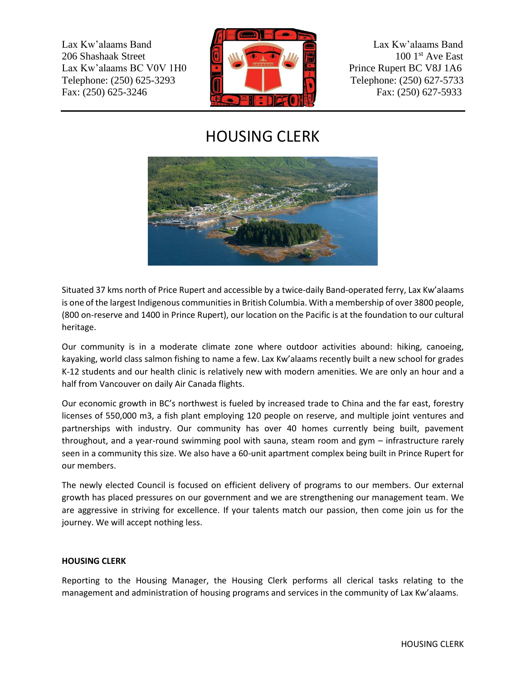Lax Kw'alaams Band Lax Kw'alaams Band 206 Shashaak Street 100 1st Ave East Lax Kw'alaams BC V0V 1H0 **Prince Rupert BC V8J 1A6** Telephone: (250) 625-3293 **Telephone: (250) 627-5733** Fax: (250) 625-3246 Fax: (250) 627-5933



## HOUSING CLERK



Situated 37 kms north of Price Rupert and accessible by a twice-daily Band-operated ferry, Lax Kw'alaams is one of the largest Indigenous communities in British Columbia. With a membership of over 3800 people, (800 on-reserve and 1400 in Prince Rupert), our location on the Pacific is at the foundation to our cultural heritage.

Our community is in a moderate climate zone where outdoor activities abound: hiking, canoeing, kayaking, world class salmon fishing to name a few. Lax Kw'alaams recently built a new school for grades K-12 students and our health clinic is relatively new with modern amenities. We are only an hour and a half from Vancouver on daily Air Canada flights.

Our economic growth in BC's northwest is fueled by increased trade to China and the far east, forestry licenses of 550,000 m3, a fish plant employing 120 people on reserve, and multiple joint ventures and partnerships with industry. Our community has over 40 homes currently being built, pavement throughout, and a year-round swimming pool with sauna, steam room and gym – infrastructure rarely seen in a community this size. We also have a 60-unit apartment complex being built in Prince Rupert for our members.

The newly elected Council is focused on efficient delivery of programs to our members. Our external growth has placed pressures on our government and we are strengthening our management team. We are aggressive in striving for excellence. If your talents match our passion, then come join us for the journey. We will accept nothing less.

## **HOUSING CLERK**

Reporting to the Housing Manager, the Housing Clerk performs all clerical tasks relating to the management and administration of housing programs and services in the community of Lax Kw'alaams.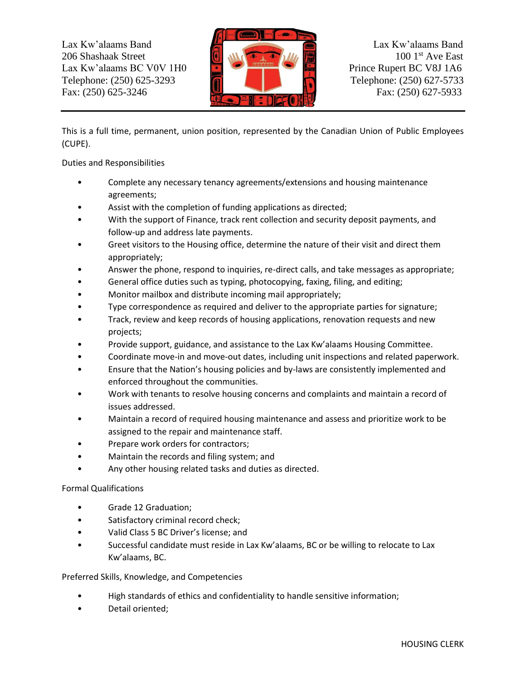Lax Kw'alaams Band Lax Kw'alaams Band 206 Shashaak Street 100 1st Ave East Lax Kw'alaams BC V0V 1H0 **Prince Rupert BC V8J 1A6** Telephone: (250) 625-3293 **Telephone: (250) 627-5733** Fax: (250) 625-3246 Fax: (250) 627-5933



This is a full time, permanent, union position, represented by the Canadian Union of Public Employees (CUPE).

Duties and Responsibilities

- Complete any necessary tenancy agreements/extensions and housing maintenance agreements;
- Assist with the completion of funding applications as directed;
- With the support of Finance, track rent collection and security deposit payments, and follow-up and address late payments.
- Greet visitors to the Housing office, determine the nature of their visit and direct them appropriately;
- Answer the phone, respond to inquiries, re-direct calls, and take messages as appropriate;
- General office duties such as typing, photocopying, faxing, filing, and editing;
- Monitor mailbox and distribute incoming mail appropriately;
- Type correspondence as required and deliver to the appropriate parties for signature;
- Track, review and keep records of housing applications, renovation requests and new projects;
- Provide support, guidance, and assistance to the Lax Kw'alaams Housing Committee.
- Coordinate move-in and move-out dates, including unit inspections and related paperwork.
- Ensure that the Nation's housing policies and by-laws are consistently implemented and enforced throughout the communities.
- Work with tenants to resolve housing concerns and complaints and maintain a record of issues addressed.
- Maintain a record of required housing maintenance and assess and prioritize work to be assigned to the repair and maintenance staff.
- Prepare work orders for contractors;
- Maintain the records and filing system; and
- Any other housing related tasks and duties as directed.

## Formal Qualifications

- Grade 12 Graduation;
- Satisfactory criminal record check;
- Valid Class 5 BC Driver's license; and
- Successful candidate must reside in Lax Kw'alaams, BC or be willing to relocate to Lax Kw'alaams, BC.

## Preferred Skills, Knowledge, and Competencies

- High standards of ethics and confidentiality to handle sensitive information;
- Detail oriented: